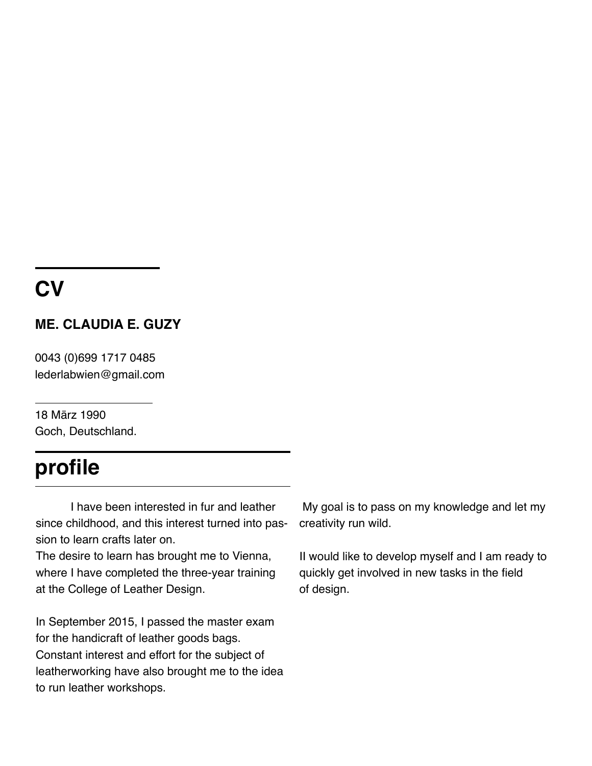## **CV**

#### **ME. CLAUDIA E. GUZY**

0043 (0)699 1717 0485 lederlabwien@gmail.com

18 März 1990 Goch, Deutschland.

## **profile**

I have been interested in fur and leather since childhood, and this interest turned into passion to learn crafts later on.

The desire to learn has brought me to Vienna, where I have completed the three-year training at the College of Leather Design.

In September 2015, I passed the master exam for the handicraft of leather goods bags. Constant interest and effort for the subject of leatherworking have also brought me to the idea to run leather workshops.

 My goal is to pass on my knowledge and let my creativity run wild.

II would like to develop myself and I am ready to quickly get involved in new tasks in the field of design.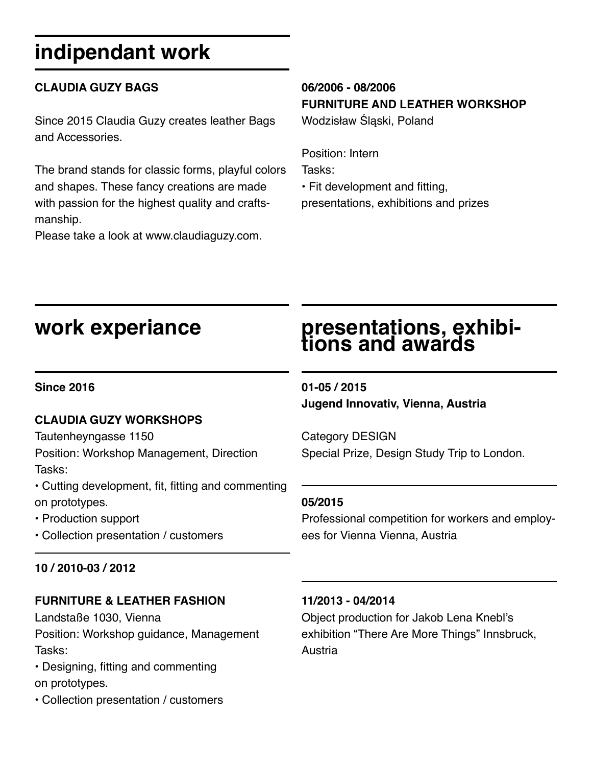# **indipendant work**

#### **CLAUDIA GUZY BAGS**

Since 2015 Claudia Guzy creates leather Bags and Accessories.

The brand stands for classic forms, playful colors and shapes. These fancy creations are made with passion for the highest quality and craftsmanship.

Please take a look at www.claudiaguzy.com.

#### **06/2006 - 08/2006 FURNITURE AND LEATHER WORKSHOP**

Wodzisław Śląski, Poland

Position: Intern Tasks:

• Fit development and fitting, presentations, exhibitions and prizes

### **work experiance**

# **presentations, exhibi- tions and awards**

#### **Since 2016**

#### **CLAUDIA GUZY WORKSHOPS**

Tautenheyngasse 1150

Position: Workshop Management, Direction Tasks:

• Cutting development, fit, fitting and commenting on prototypes.

• Production support

• Collection presentation / customers

#### **10 / 2010-03 / 2012**

#### **FURNITURE & LEATHER FASHION**

Landstaße 1030, Vienna Position: Workshop guidance, Management Tasks:

- Designing, fitting and commenting on prototypes.
- Collection presentation / customers

**01-05 / 2015 Jugend Innovativ, Vienna, Austria**

Category DESIGN Special Prize, Design Study Trip to London.

#### **05/2015**

Professional competition for workers and employees for Vienna Vienna, Austria

#### **11/2013 - 04/2014**

Object production for Jakob Lena Knebl's exhibition "There Are More Things" Innsbruck, **Austria**